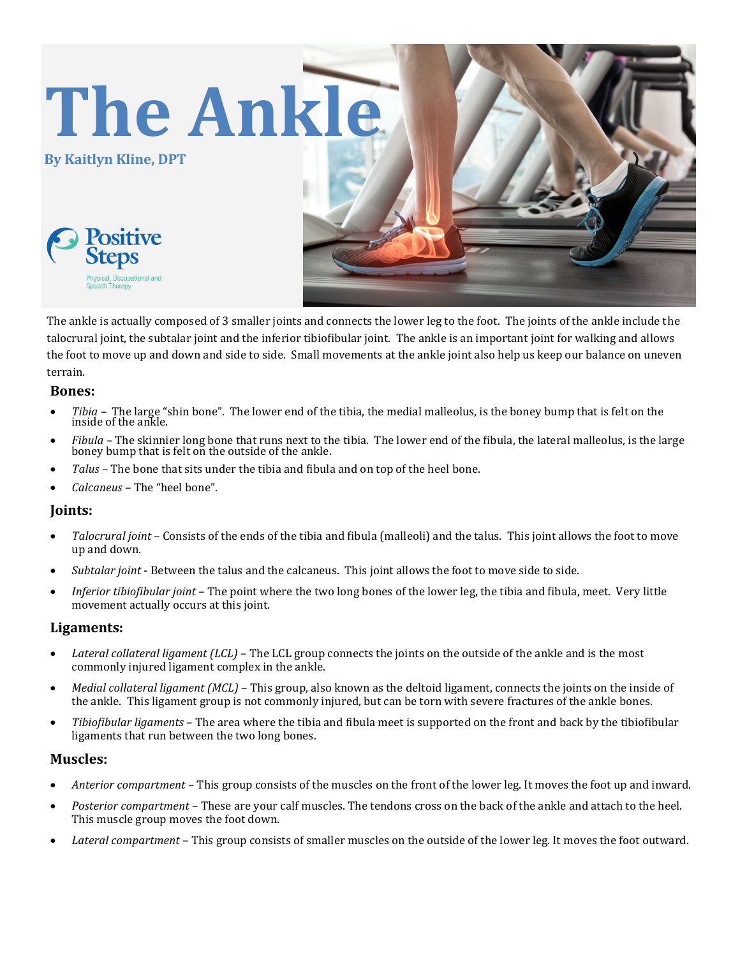

The ankle is actually composed of 3 smaller joints and connects the lower leg to the foot. The joints of the ankle include the talocrural joint, the subtalar joint and the inferior tibiofibular joint. The ankle is an important joint for walking and allows the foot to move up and down and side to side. Small movements at the ankle joint also help us keep our balance on uneven terrain.

## **Bones:**

- *Tibia* The large "shin bone". The lower end of the tibia, the medial malleolus, is the boney bump that is felt on the inside of the ankle.
- *Fibula* The skinnier long bone that runs next to the tibia. The lower end of the fibula, the lateral malleolus, is the large boney bump that is felt on the outside of the ankle.
- *Talus* The bone that sits under the tibia and fibula and on top of the heel bone.
- *Calcaneus* The "heel bone".

## **Joints:**

- *Talocrural joint*  Consists of the ends of the tibia and fibula (malleoli) and the talus. This joint allows the foot to move up and down.
- *Subtalar joint*  Between the talus and the calcaneus. This joint allows the foot to move side to side.
- *Inferior tibiofibular joint*  The point where the two long bones of the lower leg, the tibia and fibula, meet. Very little movement actually occurs at this joint.

### **Ligaments:**

- *Lateral collateral ligament (LCL)*  The LCL group connects the joints on the outside of the ankle and is the most commonly injured ligament complex in the ankle.
- *Medial collateral ligament (MCL)*  This group, also known as the deltoid ligament, connects the joints on the inside of the ankle. This ligament group is not commonly injured, but can be torn with severe fractures of the ankle bones.
- *Tibiofibular ligaments*  The area where the tibia and fibula meet is supported on the front and back by the tibiofibular ligaments that run between the two long bones.

### **Muscles:**

- *Anterior compartment*  This group consists of the muscles on the front of the lower leg. It moves the foot up and inward.
- *Posterior compartment*  These are your calf muscles. The tendons cross on the back of the ankle and attach to the heel. This muscle group moves the foot down.
- *Lateral compartment*  This group consists of smaller muscles on the outside of the lower leg. It moves the foot outward.